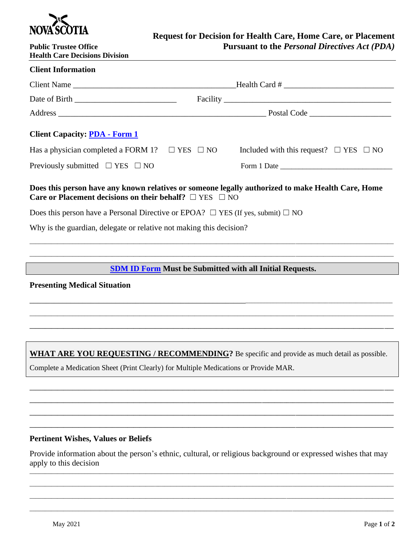

| PUDIIC Trustee Other                  |  |
|---------------------------------------|--|
| <b>Health Care Decisions Division</b> |  |

| <b>Client Information</b>                                                                                                                                                    |                                                  |  |  |  |  |
|------------------------------------------------------------------------------------------------------------------------------------------------------------------------------|--------------------------------------------------|--|--|--|--|
|                                                                                                                                                                              |                                                  |  |  |  |  |
|                                                                                                                                                                              |                                                  |  |  |  |  |
|                                                                                                                                                                              |                                                  |  |  |  |  |
| <b>Client Capacity: PDA - Form 1</b>                                                                                                                                         |                                                  |  |  |  |  |
| Has a physician completed a FORM 1? $\Box$ YES $\Box$ NO                                                                                                                     | Included with this request? $\Box$ YES $\Box$ NO |  |  |  |  |
| Previously submitted $\Box$ YES $\Box$ NO                                                                                                                                    | Form 1 Date $\_\_$                               |  |  |  |  |
| Does this person have any known relatives or someone legally authorized to make Health Care, Home<br>Care or Placement decisions on their behalf? $\square$ YES $\square$ NO |                                                  |  |  |  |  |
| Does this person have a Personal Directive or EPOA? $\square$ YES (If yes, submit) $\square$ NO                                                                              |                                                  |  |  |  |  |
| Why is the guardian, delegate or relative not making this decision?                                                                                                          |                                                  |  |  |  |  |
|                                                                                                                                                                              |                                                  |  |  |  |  |
|                                                                                                                                                                              |                                                  |  |  |  |  |
| <b>SDM ID Form Must be Submitted with all Initial Requests.</b>                                                                                                              |                                                  |  |  |  |  |
| <b>Presenting Medical Situation</b>                                                                                                                                          |                                                  |  |  |  |  |
|                                                                                                                                                                              |                                                  |  |  |  |  |
|                                                                                                                                                                              |                                                  |  |  |  |  |
|                                                                                                                                                                              |                                                  |  |  |  |  |
| WHAT ARE YOU REQUESTING / RECOMMENDING? Be specific and provide as much detail as possible.                                                                                  |                                                  |  |  |  |  |
| Complete a Medication Sheet (Print Clearly) for Multiple Medications or Provide MAR.                                                                                         |                                                  |  |  |  |  |

## **Pertinent Wishes, Values or Beliefs**

Provide information about the person's ethnic, cultural, or religious background or expressed wishes that may apply to this decision \_\_\_\_\_\_\_\_\_\_\_\_\_\_\_\_\_\_\_\_\_\_\_\_\_\_\_\_\_\_\_\_\_\_\_\_\_\_\_\_\_\_\_\_\_\_\_\_\_\_\_\_\_\_\_\_\_\_\_\_\_\_\_\_\_\_\_\_\_\_\_\_\_\_\_\_\_\_\_\_\_\_\_\_\_\_\_\_\_\_\_\_\_\_\_\_\_\_\_\_\_\_\_\_\_\_\_\_\_\_\_\_\_\_\_\_\_\_\_

\_\_\_\_\_\_\_\_\_\_\_\_\_\_\_\_\_\_\_\_\_\_\_\_\_\_\_\_\_\_\_\_\_\_\_\_\_\_\_\_\_\_\_\_\_\_\_\_\_\_\_\_\_\_\_\_\_\_\_\_\_\_\_\_\_\_\_\_\_\_\_\_\_\_\_\_\_\_\_\_\_\_\_\_\_\_\_\_\_\_\_\_\_\_\_\_\_\_\_\_\_\_\_\_\_\_\_\_\_\_\_\_\_\_\_\_\_\_\_ \_\_\_\_\_\_\_\_\_\_\_\_\_\_\_\_\_\_\_\_\_\_\_\_\_\_\_\_\_\_\_\_\_\_\_\_\_\_\_\_\_\_\_\_\_\_\_\_\_\_\_\_\_\_\_\_\_\_\_\_\_\_\_\_\_\_\_\_\_\_\_\_\_\_\_\_\_\_\_\_\_\_\_\_\_\_\_\_\_\_\_\_\_\_\_\_\_\_\_\_\_\_\_\_\_\_\_\_\_\_\_\_\_\_\_\_\_\_\_ \_\_\_\_\_\_\_\_\_\_\_\_\_\_\_\_\_\_\_\_\_\_\_\_\_\_\_\_\_\_\_\_\_\_\_\_\_\_\_\_\_\_\_\_\_\_\_\_\_\_\_\_\_\_\_\_\_\_\_\_\_\_\_\_\_\_\_\_\_\_\_\_\_\_\_\_\_\_\_\_\_\_\_\_\_\_\_\_\_\_\_\_\_\_\_\_\_\_\_\_\_\_\_\_\_\_\_\_\_\_\_\_\_\_\_\_\_\_\_

**\_\_\_\_\_\_\_\_\_\_\_\_\_\_\_\_\_\_\_\_\_\_\_\_\_\_\_\_\_\_\_\_\_\_\_\_\_\_\_\_\_\_\_\_\_\_\_\_\_\_\_\_\_\_\_\_\_\_\_\_\_\_\_\_\_\_\_\_\_\_\_\_\_\_\_\_\_\_\_\_\_\_\_\_\_\_\_\_\_\_\_\_\_\_\_\_\_\_\_\_\_\_\_\_\_\_\_\_\_\_\_\_\_\_\_\_\_\_\_ \_\_\_\_\_\_\_\_\_\_\_\_\_\_\_\_\_\_\_\_\_\_\_\_\_\_\_\_\_\_\_\_\_\_\_\_\_\_\_\_\_\_\_\_\_\_\_\_\_\_\_\_\_\_\_\_\_\_\_\_\_\_\_\_\_\_\_\_\_\_\_\_\_\_\_\_\_\_\_\_\_\_\_\_\_\_\_\_\_\_\_\_\_\_\_\_\_\_\_\_\_\_\_\_\_\_\_\_\_\_\_\_\_\_\_\_\_\_\_ \_\_\_\_\_\_\_\_\_\_\_\_\_\_\_\_\_\_\_\_\_\_\_\_\_\_\_\_\_\_\_\_\_\_\_\_\_\_\_\_\_\_\_\_\_\_\_\_\_\_\_\_\_\_\_\_\_\_\_\_\_\_\_\_\_\_\_\_\_\_\_\_\_\_\_\_\_\_\_\_\_\_\_\_\_\_\_\_\_\_\_\_\_\_\_\_\_\_\_\_\_\_\_\_\_\_\_\_\_\_\_\_\_\_\_\_\_\_\_ \_\_\_\_\_\_\_\_\_\_\_\_\_\_\_\_\_\_\_\_\_\_\_\_\_\_\_\_\_\_\_\_\_\_\_\_\_\_\_\_\_\_\_\_\_\_\_\_\_\_\_\_\_\_\_\_\_\_\_\_\_\_\_\_\_\_\_\_\_\_\_\_\_\_\_\_\_\_\_\_\_\_\_\_\_\_\_\_\_\_\_\_\_\_\_\_\_\_\_\_\_\_\_\_\_\_\_\_\_\_\_\_\_\_\_\_\_\_\_**